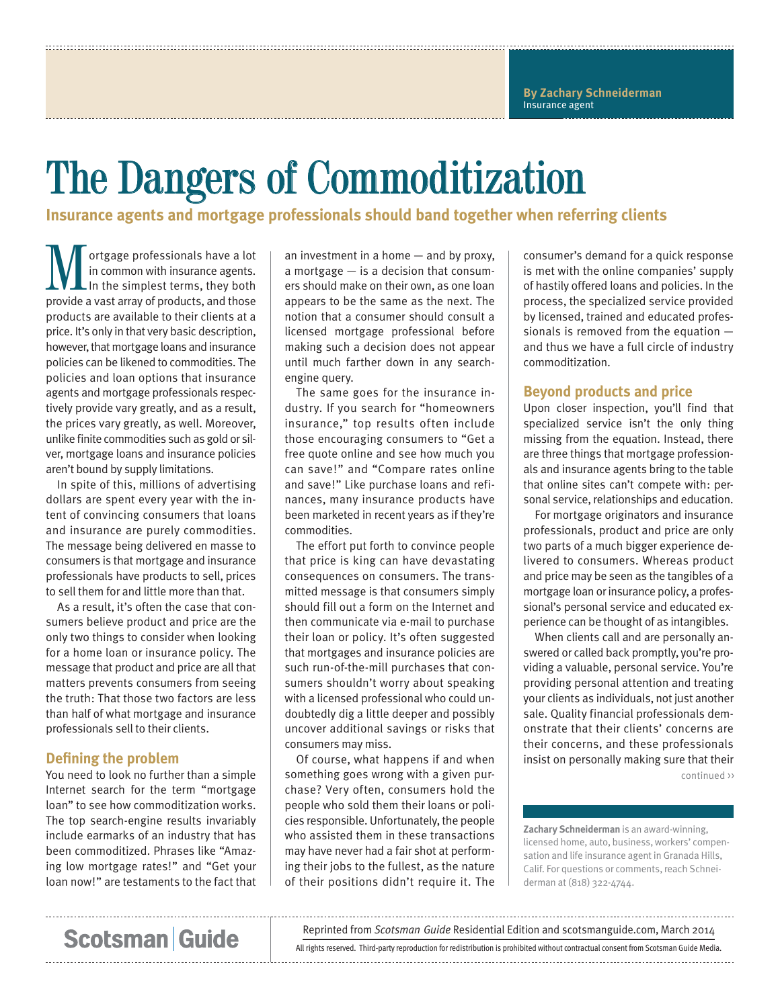# The Dangers of Commoditization

**Insurance agents and mortgage professionals should band together when referring clients**

**M** ortgage professionals have a lot<br>
in common with insurance agents.<br>
In the simplest terms, they both<br>
provide a vast array of products, and those in common with insurance agents. provide a vast array of products, and those products are available to their clients at a price. It's only in that very basic description, however, that mortgage loans and insurance policies can be likened to commodities. The policies and loan options that insurance agents and mortgage professionals respectively provide vary greatly, and as a result, the prices vary greatly, as well. Moreover, unlike finite commodities such as gold or silver, mortgage loans and insurance policies aren't bound by supply limitations.

In spite of this, millions of advertising dollars are spent every year with the intent of convincing consumers that loans and insurance are purely commodities. The message being delivered en masse to consumers is that mortgage and insurance professionals have products to sell, prices to sell them for and little more than that.

As a result, it's often the case that consumers believe product and price are the only two things to consider when looking for a home loan or insurance policy. The message that product and price are all that matters prevents consumers from seeing the truth: That those two factors are less than half of what mortgage and insurance professionals sell to their clients.

### **Defining the problem**

You need to look no further than a simple Internet search for the term "mortgage loan" to see how commoditization works. The top search-engine results invariably include earmarks of an industry that has been commoditized. Phrases like "Amazing low mortgage rates!" and "Get your loan now!" are testaments to the fact that

an investment in a home — and by proxy, a mortgage — is a decision that consumers should make on their own, as one loan appears to be the same as the next. The notion that a consumer should consult a licensed mortgage professional before making such a decision does not appear until much farther down in any searchengine query.

The same goes for the insurance industry. If you search for "homeowners insurance," top results often include those encouraging consumers to "Get a free quote online and see how much you can save!" and "Compare rates online and save!" Like purchase loans and refinances, many insurance products have been marketed in recent years as if they're commodities.

The effort put forth to convince people that price is king can have devastating consequences on consumers. The transmitted message is that consumers simply should fill out a form on the Internet and then communicate via e-mail to purchase their loan or policy. It's often suggested that mortgages and insurance policies are such run-of-the-mill purchases that consumers shouldn't worry about speaking with a licensed professional who could undoubtedly dig a little deeper and possibly uncover additional savings or risks that consumers may miss.

Of course, what happens if and when something goes wrong with a given purchase? Very often, consumers hold the people who sold them their loans or policies responsible. Unfortunately, the people who assisted them in these transactions may have never had a fair shot at performing their jobs to the fullest, as the nature of their positions didn't require it. The

consumer's demand for a quick response is met with the online companies' supply of hastily offered loans and policies. In the process, the specialized service provided by licensed, trained and educated professionals is removed from the equation and thus we have a full circle of industry commoditization.

### **Beyond products and price**

Upon closer inspection, you'll find that specialized service isn't the only thing missing from the equation. Instead, there are three things that mortgage professionals and insurance agents bring to the table that online sites can't compete with: personal service, relationships and education.

For mortgage originators and insurance professionals, product and price are only two parts of a much bigger experience delivered to consumers. Whereas product and price may be seen as the tangibles of a mortgage loan or insurance policy, a professional's personal service and educated experience can be thought of as intangibles.

When clients call and are personally answered or called back promptly, you're providing a valuable, personal service. You're providing personal attention and treating your clients as individuals, not just another sale. Quality financial professionals demonstrate that their clients' concerns are their concerns, and these professionals insist on personally making sure that their continued >>

**Zachary Schneiderman** is an award-winning, licensed home, auto, business, workers' compensation and life insurance agent in Granada Hills, Calif. For questions or comments, reach Schneiderman at (818) 322-4744.

## **Scotsman Guide**

Reprinted from *Scotsman Guide* Residential Edition and scotsmanguide.com, March 2014

All rights reserved. Third-party reproduction for redistribution is prohibited without contractual consent from Scotsman Guide Media.